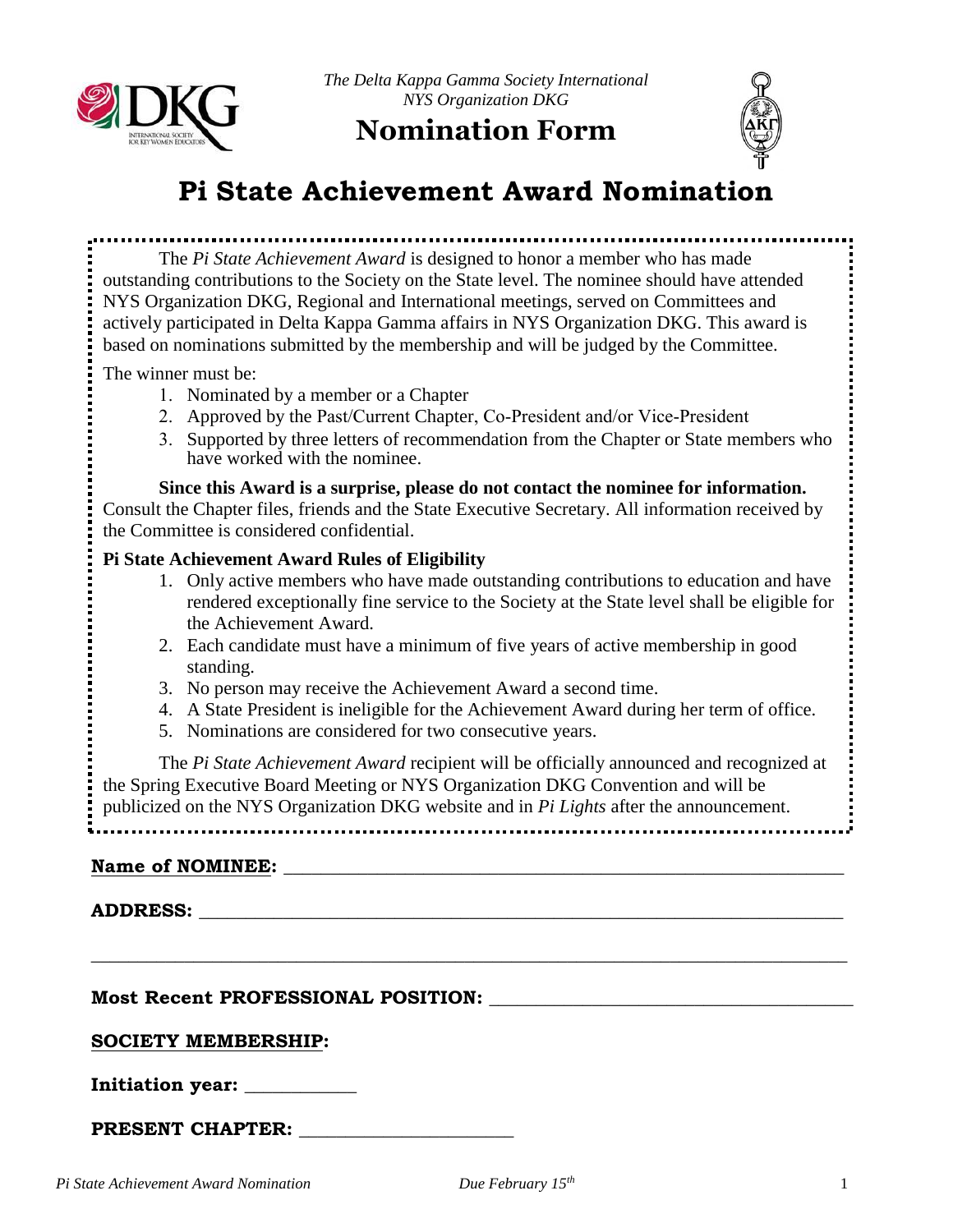

*The Delta Kappa Gamma Society International NYS Organization DKG*

# **Nomination Form**



# **Pi State Achievement Award Nomination**

The *Pi State Achievement Award* is designed to honor a member who has made outstanding contributions to the Society on the State level. The nominee should have attended NYS Organization DKG, Regional and International meetings, served on Committees and actively participated in Delta Kappa Gamma affairs in NYS Organization DKG. This award is based on nominations submitted by the membership and will be judged by the Committee.

The winner must be:

- 1. Nominated by a member or a Chapter
- 2. Approved by the Past/Current Chapter, Co-President and/or Vice-President
- 3. Supported by three letters of recommendation from the Chapter or State members who have worked with the nominee.

## **Since this Award is a surprise, please do not contact the nominee for information.**

Consult the Chapter files, friends and the State Executive Secretary. All information received by the Committee is considered confidential.

## **Pi State Achievement Award Rules of Eligibility**

- 1. Only active members who have made outstanding contributions to education and have rendered exceptionally fine service to the Society at the State level shall be eligible for the Achievement Award.
- 2. Each candidate must have a minimum of five years of active membership in good standing.
- 3. No person may receive the Achievement Award a second time.
- 4. A State President is ineligible for the Achievement Award during her term of office.
- 5. Nominations are considered for two consecutive years.

The *Pi State Achievement Award* recipient will be officially announced and recognized at the Spring Executive Board Meeting or NYS Organization DKG Convention and will be publicized on the NYS Organization DKG website and in *Pi Lights* after the announcement.

**\_\_\_\_\_\_\_\_\_\_\_\_\_\_\_\_\_\_\_\_\_\_\_\_\_\_\_\_\_\_\_\_\_\_\_\_\_\_\_\_\_\_\_\_\_\_\_\_\_\_\_\_\_\_\_\_\_\_\_\_\_\_\_\_\_\_\_\_\_\_\_\_\_\_\_\_\_\_\_\_\_**

# **Name of NOMINEE:**  $\blacksquare$

#### **ADDRESS: \_\_\_\_\_\_\_\_\_\_\_\_\_\_\_\_\_\_\_\_\_\_\_\_\_\_\_\_\_\_\_\_\_\_\_\_\_\_\_\_\_\_\_\_\_\_\_\_\_\_\_\_\_\_\_\_\_\_\_\_\_\_\_\_\_\_\_\_\_**

**Most Recent PROFESSIONAL POSITION: \_\_\_\_\_\_\_\_\_\_\_\_\_\_\_\_\_\_\_\_\_\_\_\_\_\_\_\_\_\_\_\_\_\_\_\_\_\_\_** 

#### **SOCIETY MEMBERSHIP:**

**Initiation year: \_\_\_\_\_\_\_\_\_\_\_\_**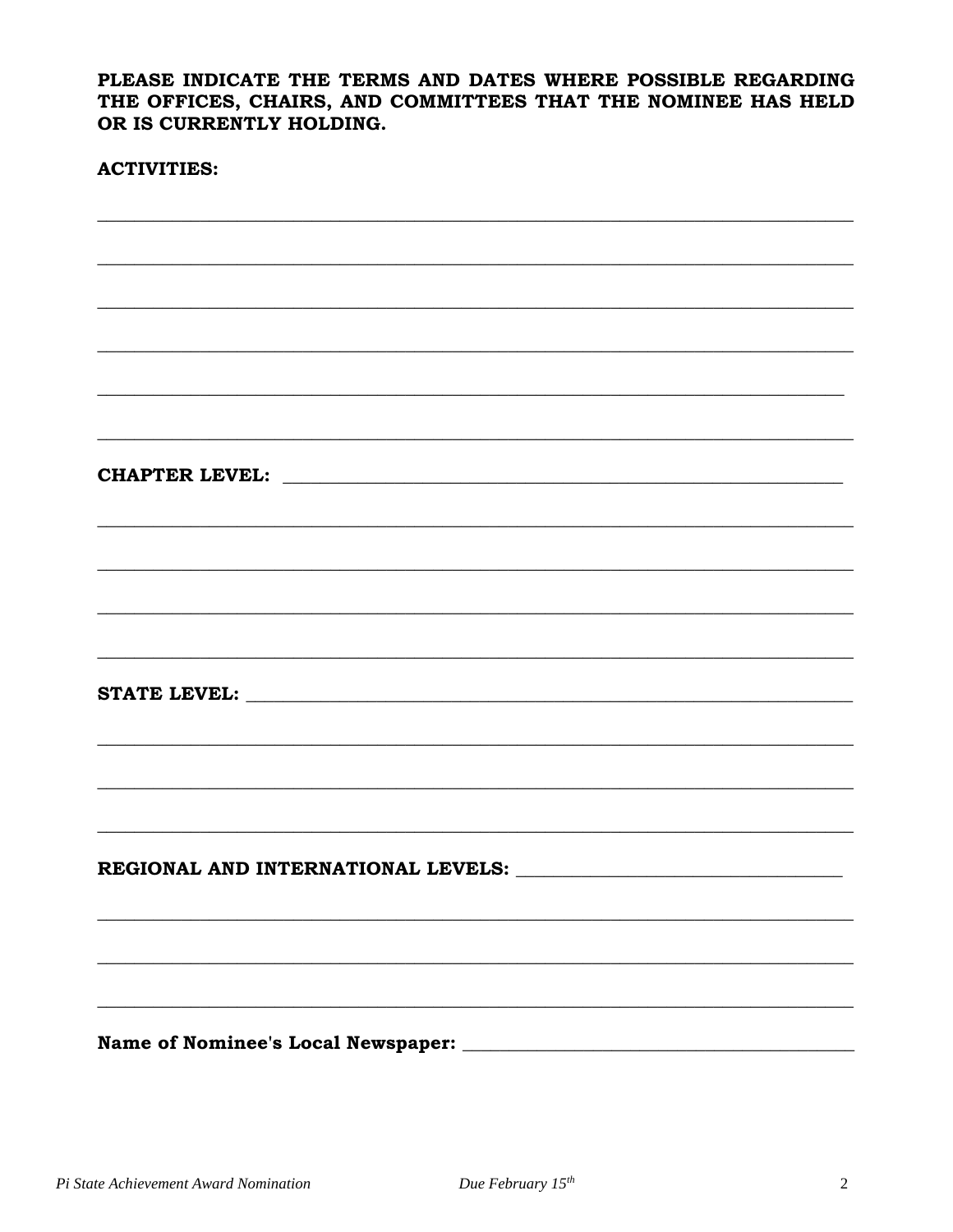PLEASE INDICATE THE TERMS AND DATES WHERE POSSIBLE REGARDING THE OFFICES, CHAIRS, AND COMMITTEES THAT THE NOMINEE HAS HELD OR IS CURRENTLY HOLDING.

#### **ACTIVITIES:**